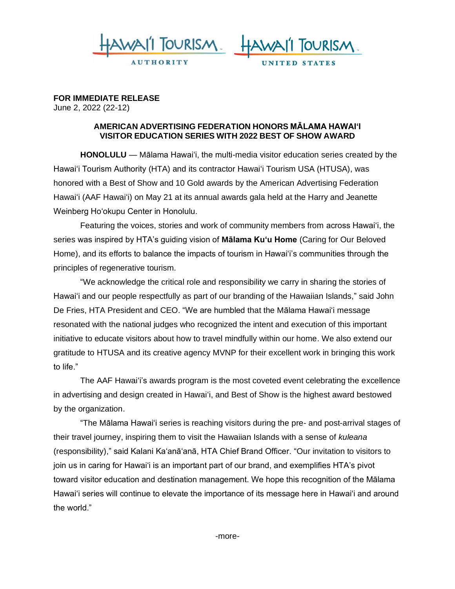



**FOR IMMEDIATE RELEASE**  June 2, 2022 (22-12)

## **AMERICAN ADVERTISING FEDERATION HONORS MĀLAMA HAWAI'I VISITOR EDUCATION SERIES WITH 2022 BEST OF SHOW AWARD**

**HONOLULU** — Mālama Hawai'i, the multi-media visitor education series created by the Hawai'i Tourism Authority (HTA) and its contractor Hawai'i Tourism USA (HTUSA), was honored with a Best of Show and 10 Gold awards by the American Advertising Federation Hawaiʻi (AAF Hawaiʻi) on May 21 at its annual awards gala held at the Harry and Jeanette Weinberg Ho'okupu Center in Honolulu.

Featuring the voices, stories and work of community members from across Hawaiʻi, the series was inspired by HTA's guiding vision of **Mālama Ku'u Home** (Caring for Our Beloved Home), and its efforts to balance the impacts of tourism in Hawai'i's communities through the principles of regenerative tourism.

"We acknowledge the critical role and responsibility we carry in sharing the stories of Hawai'i and our people respectfully as part of our branding of the Hawaiian Islands," said John De Fries, HTA President and CEO. "We are humbled that the Mālama Hawai'i message resonated with the national judges who recognized the intent and execution of this important initiative to educate visitors about how to travel mindfully within our home. We also extend our gratitude to HTUSA and its creative agency MVNP for their excellent work in bringing this work to life."

The AAF Hawaiʻi's awards program is the most coveted event celebrating the excellence in advertising and design created in Hawai'i, and Best of Show is the highest award bestowed by the organization.

"The Mālama Hawai'i series is reaching visitors during the pre- and post-arrival stages of their travel journey, inspiring them to visit the Hawaiian Islands with a sense of *kuleana*  (responsibility)," said Kalani Ka'anā'anā, HTA Chief Brand Officer. "Our invitation to visitors to join us in caring for Hawaiʻi is an important part of our brand, and exemplifies HTA's pivot toward visitor education and destination management. We hope this recognition of the Mālama Hawaiʻi series will continue to elevate the importance of its message here in Hawaiʻi and around the world."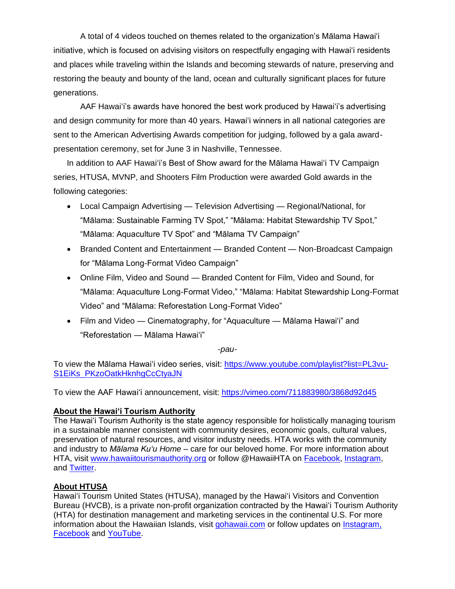A total of 4 videos touched on themes related to the organization's Mālama Hawai'i initiative, which is focused on advising visitors on respectfully engaging with Hawai'i residents and places while traveling within the Islands and becoming stewards of nature, preserving and restoring the beauty and bounty of the land, ocean and culturally significant places for future generations.

AAF Hawaiʻi's awards have honored the best work produced by Hawai'i's advertising and design community for more than 40 years. Hawai'i winners in all national categories are sent to the American Advertising Awards competition for judging, followed by a gala awardpresentation ceremony, set for June 3 in Nashville, Tennessee.

In addition to AAF Hawaiʻi's Best of Show award for the Mālama Hawai'i TV Campaign series, HTUSA, MVNP, and Shooters Film Production were awarded Gold awards in the following categories:

- Local Campaign Advertising Television Advertising Regional/National, for "Mālama: Sustainable Farming TV Spot," "Mālama: Habitat Stewardship TV Spot," "Mālama: Aquaculture TV Spot" and "Mālama TV Campaign"
- Branded Content and Entertainment Branded Content Non-Broadcast Campaign for "Mālama Long-Format Video Campaign"
- Online Film, Video and Sound Branded Content for Film, Video and Sound, for "Mālama: Aquaculture Long-Format Video," "Mālama: Habitat Stewardship Long-Format Video" and "Mālama: Reforestation Long-Format Video"
- Film and Video Cinematography, for "Aquaculture Mālama Hawai'i" and "Reforestation — Mālama Hawai'i"

*-pau-*

To view the Mālama Hawai'i video series, visit: [https://www.youtube.com/playlist?list=PL3vu-](https://www.youtube.com/playlist?list=PL3vu-S1EiKs_PKzoOatkHknhgCcCtyaJN)[S1EiKs\\_PKzoOatkHknhgCcCtyaJN](https://www.youtube.com/playlist?list=PL3vu-S1EiKs_PKzoOatkHknhgCcCtyaJN)

To view the AAF Hawai'i announcement, visit:<https://vimeo.com/711883980/3868d92d45>

## **About the Hawai'i Tourism Authority**

The Hawai'i Tourism Authority is the state agency responsible for holistically managing tourism in a sustainable manner consistent with community desires, economic goals, cultural values, preservation of natural resources, and visitor industry needs. HTA works with the community and industry to *Mālama Kuʻu Home* – care for our beloved home. For more information about HTA, visit [www.hawaiitourismauthority.org](https://nam11.safelinks.protection.outlook.com/?url=http%3A%2F%2Fwww.hawaiitourismauthority.org%2F&data=04%7C01%7Cerin.khan%40anthologygroup.com%7C06f3ced010134c93fcb908da1cd99265%7C0e7558ffacd54b0286566e61c570cbb8%7C0%7C0%7C637854018211654315%7CUnknown%7CTWFpbGZsb3d8eyJWIjoiMC4wLjAwMDAiLCJQIjoiV2luMzIiLCJBTiI6Ik1haWwiLCJXVCI6Mn0%3D%7C3000&sdata=koNw5zUEGx6F%2FN%2Fe71%2FrgzCgbNZ%2F%2FXRlUjzw0Sk3ic4%3D&reserved=0) or follow @HawaiiHTA on [Facebook,](https://nam11.safelinks.protection.outlook.com/?url=https%3A%2F%2Fwww.facebook.com%2FHawaiiHTA&data=04%7C01%7Cerin.khan%40anthologygroup.com%7C06f3ced010134c93fcb908da1cd99265%7C0e7558ffacd54b0286566e61c570cbb8%7C0%7C0%7C637854018211654315%7CUnknown%7CTWFpbGZsb3d8eyJWIjoiMC4wLjAwMDAiLCJQIjoiV2luMzIiLCJBTiI6Ik1haWwiLCJXVCI6Mn0%3D%7C3000&sdata=Xrbt4C142sV0lx6FQ58eamz83lQlTrwW7JeeRPQEbww%3D&reserved=0) [Instagram,](https://nam11.safelinks.protection.outlook.com/?url=https%3A%2F%2Fwww.instagram.com%2Fhawaiihta%2F&data=04%7C01%7Cerin.khan%40anthologygroup.com%7C06f3ced010134c93fcb908da1cd99265%7C0e7558ffacd54b0286566e61c570cbb8%7C0%7C0%7C637854018211654315%7CUnknown%7CTWFpbGZsb3d8eyJWIjoiMC4wLjAwMDAiLCJQIjoiV2luMzIiLCJBTiI6Ik1haWwiLCJXVCI6Mn0%3D%7C3000&sdata=cT2hW9NpTnbKCp9Gg3N2z5%2B5hMfhpkFcRhbcd7RrHH4%3D&reserved=0) and [Twitter.](https://nam11.safelinks.protection.outlook.com/?url=https%3A%2F%2Ftwitter.com%2FHawaiiHTA&data=04%7C01%7Cerin.khan%40anthologygroup.com%7C06f3ced010134c93fcb908da1cd99265%7C0e7558ffacd54b0286566e61c570cbb8%7C0%7C0%7C637854018211654315%7CUnknown%7CTWFpbGZsb3d8eyJWIjoiMC4wLjAwMDAiLCJQIjoiV2luMzIiLCJBTiI6Ik1haWwiLCJXVCI6Mn0%3D%7C3000&sdata=DuD8vcPFoFxLeWOPl8Fw7Tn7%2BxTqLbt6M8hmU8o4F80%3D&reserved=0)

## **About HTUSA**

Hawaiʻi Tourism United States (HTUSA), managed by the Hawaiʻi Visitors and Convention Bureau (HVCB), is a private non-profit organization contracted by the Hawaiʻi Tourism Authority (HTA) for destination management and marketing services in the continental U.S. For more information about the Hawaiian Islands, visit [gohawaii.com](https://nam11.safelinks.protection.outlook.com/?url=http%3A%2F%2Fwww.gohawaii.com%2F&data=04%7C01%7Cpua.sterling%40anthologygroup.com%7C25d37876b256452d669508da1f1b1101%7C0e7558ffacd54b0286566e61c570cbb8%7C0%7C0%7C637856498358635983%7CUnknown%7CTWFpbGZsb3d8eyJWIjoiMC4wLjAwMDAiLCJQIjoiV2luMzIiLCJBTiI6Ik1haWwiLCJXVCI6Mn0%3D%7C3000&sdata=QDqD1D4fYZWOihbDDqR2egjbEKtRYJ4iE1E8DT5pjLg%3D&reserved=0) or follow updates on [Instagram,](https://nam11.safelinks.protection.outlook.com/?url=https%3A%2F%2Fwww.instagram.com%2Fgohawaii%2F&data=04%7C01%7Cpua.sterling%40anthologygroup.com%7C25d37876b256452d669508da1f1b1101%7C0e7558ffacd54b0286566e61c570cbb8%7C0%7C0%7C637856498358635983%7CUnknown%7CTWFpbGZsb3d8eyJWIjoiMC4wLjAwMDAiLCJQIjoiV2luMzIiLCJBTiI6Ik1haWwiLCJXVCI6Mn0%3D%7C3000&sdata=icwouV3YJLDj5iDPlc7N%2Fw48dMtAFKTwLLg5SougNVI%3D&reserved=0) [Facebook](https://nam11.safelinks.protection.outlook.com/?url=https%3A%2F%2Fwww.facebook.com%2FHawaii%2F&data=04%7C01%7Cpua.sterling%40anthologygroup.com%7C25d37876b256452d669508da1f1b1101%7C0e7558ffacd54b0286566e61c570cbb8%7C0%7C0%7C637856498358635983%7CUnknown%7CTWFpbGZsb3d8eyJWIjoiMC4wLjAwMDAiLCJQIjoiV2luMzIiLCJBTiI6Ik1haWwiLCJXVCI6Mn0%3D%7C3000&sdata=eMKjZ4Vx%2FI0NYpN50NCWuUaMu7QeDFxsTNcB%2FerDDyA%3D&reserved=0) and [YouTube.](https://nam11.safelinks.protection.outlook.com/?url=https%3A%2F%2Fwww.youtube.com%2Fc%2Fgohawaii&data=04%7C01%7Cpua.sterling%40anthologygroup.com%7C25d37876b256452d669508da1f1b1101%7C0e7558ffacd54b0286566e61c570cbb8%7C0%7C0%7C637856498358635983%7CUnknown%7CTWFpbGZsb3d8eyJWIjoiMC4wLjAwMDAiLCJQIjoiV2luMzIiLCJBTiI6Ik1haWwiLCJXVCI6Mn0%3D%7C3000&sdata=btrXrrRJ%2F1N5mBJ%2FLgWV2tzWKbAe%2FA66NZ0uNnZjzdM%3D&reserved=0)